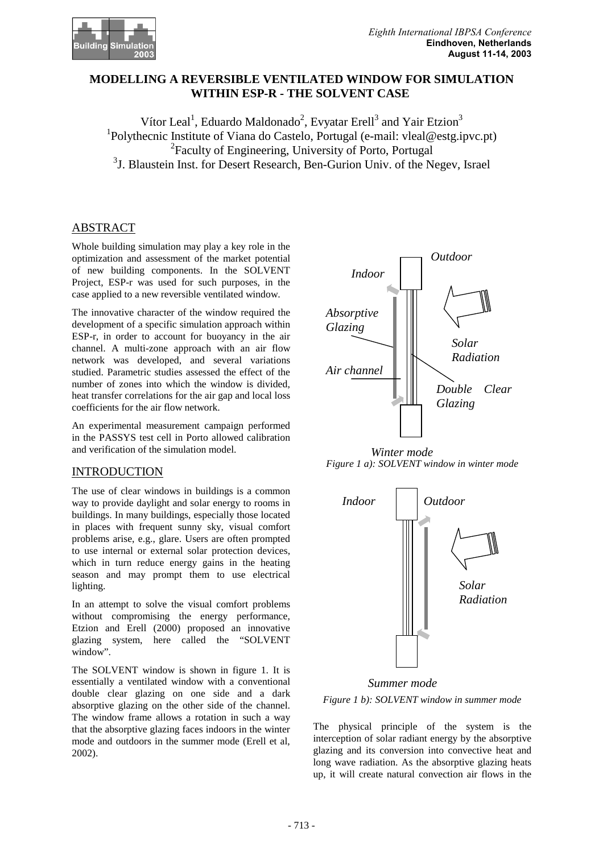

# **MODELLING A REVERSIBLE VENTILATED WINDOW FOR SIMULATION WITHIN ESP-R - THE SOLVENT CASE**

Vítor Leal<sup>1</sup>, Eduardo Maldonado<sup>2</sup>, Evyatar Erell<sup>3</sup> and Yair Etzion<sup>3</sup> <sup>1</sup>Polythecnic Institute of Viana do Castelo, Portugal (e-mail: vleal@estg.ipvc.pt) <sup>2</sup> Faculty of Engineering, University of Porto, Portugal <sup>3</sup>J. Blaustein Inst. for Desert Research, Ben-Gurion Univ. of the Negev, Israel

# ABSTRACT

Whole building simulation may play a key role in the optimization and assessment of the market potential of new building components. In the SOLVENT Project, ESP-r was used for such purposes, in the case applied to a new reversible ventilated window.

The innovative character of the window required the development of a specific simulation approach within ESP-r, in order to account for buoyancy in the air channel. A multi-zone approach with an air flow network was developed, and several variations studied. Parametric studies assessed the effect of the number of zones into which the window is divided, heat transfer correlations for the air gap and local loss coefficients for the air flow network.

An experimental measurement campaign performed in the PASSYS test cell in Porto allowed calibration and verification of the simulation model.

# INTRODUCTION

The use of clear windows in buildings is a common way to provide daylight and solar energy to rooms in buildings. In many buildings, especially those located in places with frequent sunny sky, visual comfort problems arise, e.g., glare. Users are often prompted to use internal or external solar protection devices, which in turn reduce energy gains in the heating season and may prompt them to use electrical lighting.

In an attempt to solve the visual comfort problems without compromising the energy performance, Etzion and Erell (2000) proposed an innovative glazing system, here called the "SOLVENT window".

The SOLVENT window is shown in figure 1. It is essentially a ventilated window with a conventional double clear glazing on one side and a dark absorptive glazing on the other side of the channel. The window frame allows a rotation in such a way that the absorptive glazing faces indoors in the winter mode and outdoors in the summer mode (Erell et al, 2002).



*Figure 1 a): SOLVENT window in winter mode Winter mode* 



*Figure 1 b): SOLVENT window in summer mode Summer mode* 

The physical principle of the system is the interception of solar radiant energy by the absorptive glazing and its conversion into convective heat and long wave radiation. As the absorptive glazing heats up, it will create natural convection air flows in the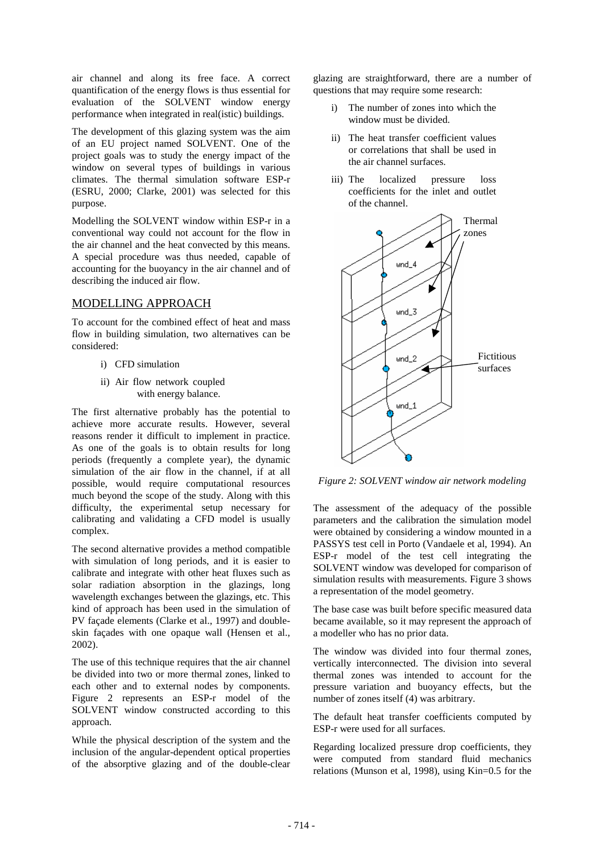air channel and along its free face. A correct quantification of the energy flows is thus essential for evaluation of the SOLVENT window energy performance when integrated in real(istic) buildings.

The development of this glazing system was the aim of an EU project named SOLVENT. One of the project goals was to study the energy impact of the window on several types of buildings in various climates. The thermal simulation software ESP-r (ESRU, 2000; Clarke, 2001) was selected for this purpose.

Modelling the SOLVENT window within ESP-r in a conventional way could not account for the flow in the air channel and the heat convected by this means. A special procedure was thus needed, capable of accounting for the buoyancy in the air channel and of describing the induced air flow.

## MODELLING APPROACH

To account for the combined effect of heat and mass flow in building simulation, two alternatives can be considered:

- i) CFD simulation
- ii) Air flow network coupled with energy balance.

The first alternative probably has the potential to achieve more accurate results. However, several reasons render it difficult to implement in practice. As one of the goals is to obtain results for long periods (frequently a complete year), the dynamic simulation of the air flow in the channel, if at all possible, would require computational resources much beyond the scope of the study. Along with this difficulty, the experimental setup necessary for calibrating and validating a CFD model is usually complex.

The second alternative provides a method compatible with simulation of long periods, and it is easier to calibrate and integrate with other heat fluxes such as solar radiation absorption in the glazings, long wavelength exchanges between the glazings, etc. This kind of approach has been used in the simulation of PV façade elements (Clarke et al., 1997) and doubleskin façades with one opaque wall (Hensen et al., 2002).

The use of this technique requires that the air channel be divided into two or more thermal zones, linked to each other and to external nodes by components. Figure 2 represents an ESP-r model of the SOLVENT window constructed according to this approach.

While the physical description of the system and the inclusion of the angular-dependent optical properties of the absorptive glazing and of the double-clear glazing are straightforward, there are a number of questions that may require some research:

- The number of zones into which the window must be divided.
- ii) The heat transfer coefficient values or correlations that shall be used in the air channel surfaces.
- iii) The localized pressure loss coefficients for the inlet and outlet of the channel.



*Figure 2: SOLVENT window air network modeling* 

The assessment of the adequacy of the possible parameters and the calibration the simulation model were obtained by considering a window mounted in a PASSYS test cell in Porto (Vandaele et al, 1994). An ESP-r model of the test cell integrating the SOLVENT window was developed for comparison of simulation results with measurements. Figure 3 shows a representation of the model geometry.

The base case was built before specific measured data became available, so it may represent the approach of a modeller who has no prior data.

The window was divided into four thermal zones, vertically interconnected. The division into several thermal zones was intended to account for the pressure variation and buoyancy effects, but the number of zones itself (4) was arbitrary.

The default heat transfer coefficients computed by ESP-r were used for all surfaces.

Regarding localized pressure drop coefficients, they were computed from standard fluid mechanics relations (Munson et al, 1998), using Kin=0.5 for the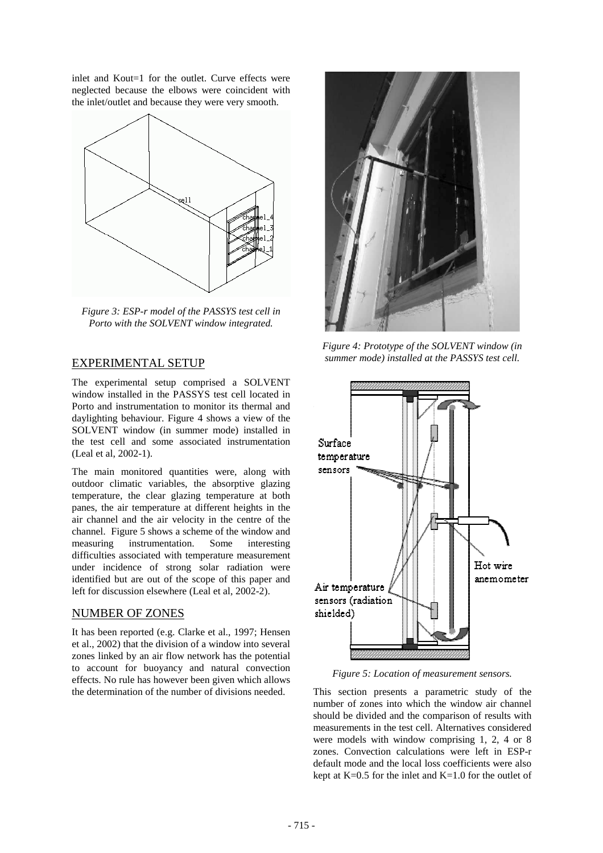inlet and Kout=1 for the outlet. Curve effects were neglected because the elbows were coincident with the inlet/outlet and because they were very smooth.



*Figure 3: ESP-r model of the PASSYS test cell in Porto with the SOLVENT window integrated.* 

# EXPERIMENTAL SETUP

The experimental setup comprised a SOLVENT window installed in the PASSYS test cell located in Porto and instrumentation to monitor its thermal and daylighting behaviour. Figure 4 shows a view of the SOLVENT window (in summer mode) installed in the test cell and some associated instrumentation (Leal et al, 2002-1).

The main monitored quantities were, along with outdoor climatic variables, the absorptive glazing temperature, the clear glazing temperature at both panes, the air temperature at different heights in the air channel and the air velocity in the centre of the channel. Figure 5 shows a scheme of the window and measuring instrumentation. Some interesting difficulties associated with temperature measurement under incidence of strong solar radiation were identified but are out of the scope of this paper and left for discussion elsewhere (Leal et al, 2002-2).

# NUMBER OF ZONES

It has been reported (e.g. Clarke et al., 1997; Hensen et al., 2002) that the division of a window into several zones linked by an air flow network has the potential to account for buoyancy and natural convection effects. No rule has however been given which allows the determination of the number of divisions needed.



*Figure 4: Prototype of the SOLVENT window (in summer mode) installed at the PASSYS test cell.* 



*Figure 5: Location of measurement sensors.* 

This section presents a parametric study of the number of zones into which the window air channel should be divided and the comparison of results with measurements in the test cell. Alternatives considered were models with window comprising 1, 2, 4 or 8 zones. Convection calculations were left in ESP-r default mode and the local loss coefficients were also kept at  $K=0.5$  for the inlet and  $K=1.0$  for the outlet of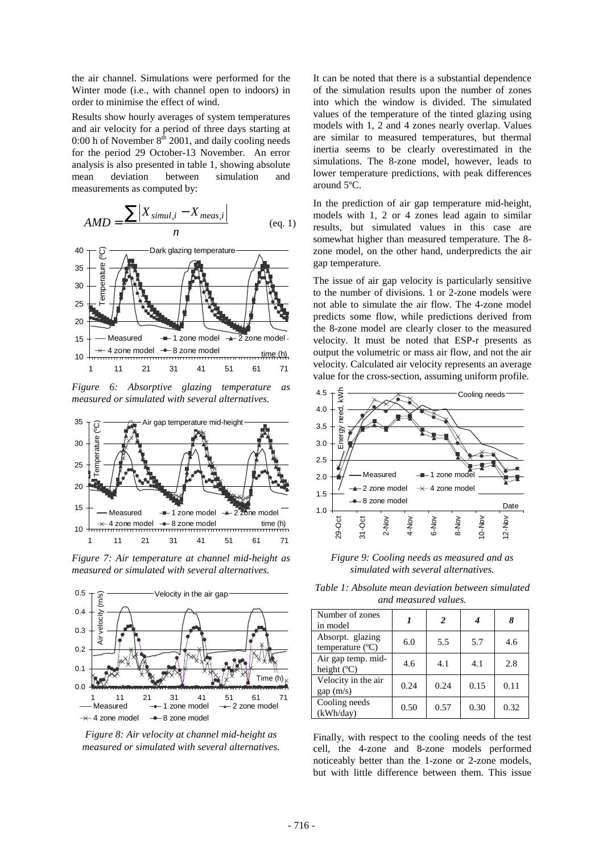the air channel. Simulations were performed for the Winter mode (i.e., with channel open to indoors) in order to minimise the effect of wind.

Results show hourly averages of system temperatures and air velocity for a period of three days starting at 0:00 h of November  $8<sup>th</sup>$  2001, and daily cooling needs for the period 29 October-13 November. An error analysis is also presented in table 1, showing absolute mean deviation between simulation and measurements as computed by:

$$
AMD = \frac{\sum |X_{simul,i} - X_{meas,i}|}{n}
$$
 (eq. 1)



*Figure 6: Absorptive glazing temperature as measured or simulated with several alternatives.* 



*Figure 7: Air temperature at channel mid-height as measured or simulated with several alternatives.* 



*Figure 8: Air velocity at channel mid-height as measured or simulated with several alternatives.* 

It can be noted that there is a substantial dependence of the simulation results upon the number of zones into which the window is divided. The simulated values of the temperature of the tinted glazing using models with 1, 2 and 4 zones nearly overlap. Values are similar to measured temperatures, but thermal inertia seems to be clearly overestimated in the simulations. The 8-zone model, however, leads to lower temperature predictions, with peak differences around 5ºC.

In the prediction of air gap temperature mid-height, models with 1, 2 or 4 zones lead again to similar results, but simulated values in this case are somewhat higher than measured temperature. The 8 zone model, on the other hand, underpredicts the air gap temperature.

The issue of air gap velocity is particularly sensitive to the number of divisions. 1 or 2-zone models were not able to simulate the air flow. The 4-zone model predicts some flow, while predictions derived from the 8-zone model are clearly closer to the measured velocity. It must be noted that ESP-r presents as output the volumetric or mass air flow, and not the air velocity. Calculated air velocity represents an average value for the cross-section, assuming uniform profile.



*Figure 9: Cooling needs as measured and as simulated with several alternatives.* 

*Table 1: Absolute mean deviation between simulated and measured values.* 

| Number of zones<br>in model                   |      | 2    |      |      |
|-----------------------------------------------|------|------|------|------|
| Absorpt. glazing<br>temperature $(^{\circ}C)$ | 6.0  | 5.5  | 5.7  | 4.6  |
| Air gap temp. mid-<br>height $(C)$            | 4.6  | 4.1  | 4.1  | 2.8  |
| Velocity in the air<br>gap(m/s)               | 0.24 | 0.24 | 0.15 | 0.11 |
| Cooling needs<br>(kWh/day)                    | 0.50 | 0.57 | 0.30 | 0.32 |

Finally, with respect to the cooling needs of the test cell, the 4-zone and 8-zone models performed noticeably better than the 1-zone or 2-zone models, but with little difference between them. This issue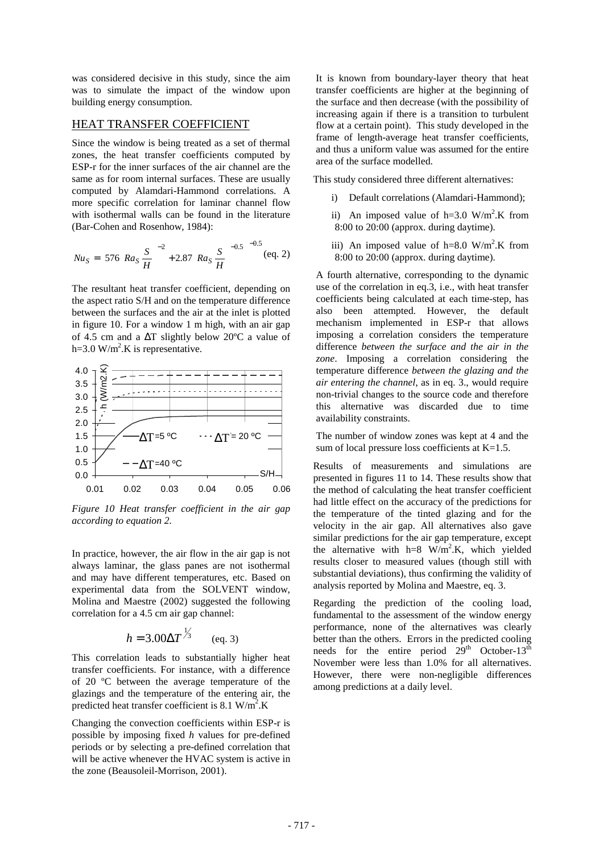was considered decisive in this study, since the aim was to simulate the impact of the window upon building energy consumption.

## HEAT TRANSFER COEFFICIENT

Since the window is being treated as a set of thermal zones, the heat transfer coefficients computed by ESP-r for the inner surfaces of the air channel are the same as for room internal surfaces. These are usually computed by Alamdari-Hammond correlations. A more specific correlation for laminar channel flow with isothermal walls can be found in the literature (Bar-Cohen and Rosenhow, 1984):

$$
Nu_S = \left[576\left(Ra_S\frac{S}{H}\right)^{-2} + 2.87\left(Ra_S\frac{S}{H}\right)^{-0.5}\right]^{-0.5} \text{(eq. 2)}
$$

The resultant heat transfer coefficient, depending on the aspect ratio S/H and on the temperature difference between the surfaces and the air at the inlet is plotted in figure 10. For a window 1 m high, with an air gap of 4.5 cm and a ∆T slightly below 20ºC a value of  $h=3.0$  W/m<sup>2</sup>.K is representative.



*Figure 10 Heat transfer coefficient in the air gap according to equation 2.* 

In practice, however, the air flow in the air gap is not always laminar, the glass panes are not isothermal and may have different temperatures, etc. Based on experimental data from the SOLVENT window, Molina and Maestre (2002) suggested the following correlation for a 4.5 cm air gap channel:

$$
h = 3.00 \Delta T^{\frac{1}{3}}
$$
 (eq. 3)

This correlation leads to substantially higher heat transfer coefficients. For instance, with a difference of 20 ºC between the average temperature of the glazings and the temperature of the entering air, the predicted heat transfer coefficient is 8.1  $W/m^2$ .K

Changing the convection coefficients within ESP-r is possible by imposing fixed *h* values for pre-defined periods or by selecting a pre-defined correlation that will be active whenever the HVAC system is active in the zone (Beausoleil-Morrison, 2001).

It is known from boundary-layer theory that heat transfer coefficients are higher at the beginning of the surface and then decrease (with the possibility of increasing again if there is a transition to turbulent flow at a certain point). This study developed in the frame of length-average heat transfer coefficients, and thus a uniform value was assumed for the entire area of the surface modelled.

This study considered three different alternatives:

- i) Default correlations (Alamdari-Hammond);
- ii) An imposed value of  $h=3.0$  W/m<sup>2</sup>.K from 8:00 to 20:00 (approx. during daytime).
- iii) An imposed value of  $h=8.0$  W/m<sup>2</sup>.K from 8:00 to 20:00 (approx. during daytime).

A fourth alternative, corresponding to the dynamic use of the correlation in eq.3, i.e., with heat transfer coefficients being calculated at each time-step, has also been attempted. However, the default mechanism implemented in ESP-r that allows imposing a correlation considers the temperature difference *between the surface and the air in the zone*. Imposing a correlation considering the temperature difference *between the glazing and the air entering the channel*, as in eq. 3., would require non-trivial changes to the source code and therefore this alternative was discarded due to time availability constraints.

The number of window zones was kept at 4 and the sum of local pressure loss coefficients at K=1.5.

Results of measurements and simulations are presented in figures 11 to 14. These results show that the method of calculating the heat transfer coefficient had little effect on the accuracy of the predictions for the temperature of the tinted glazing and for the velocity in the air gap. All alternatives also gave similar predictions for the air gap temperature, except the alternative with  $h=8$  W/m<sup>2</sup>.K, which yielded results closer to measured values (though still with substantial deviations), thus confirming the validity of analysis reported by Molina and Maestre, eq. 3.

Regarding the prediction of the cooling load, fundamental to the assessment of the window energy performance, none of the alternatives was clearly better than the others. Errors in the predicted cooling needs for the entire period  $29<sup>th</sup>$  October-13<sup>th</sup> November were less than 1.0% for all alternatives. However, there were non-negligible differences among predictions at a daily level.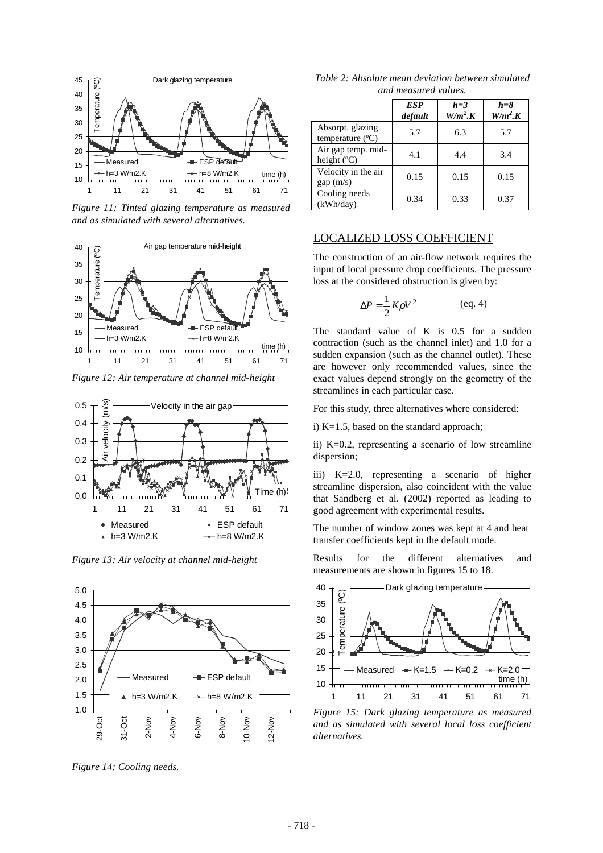

*Figure 11: Tinted glazing temperature as measured and as simulated with several alternatives.* 



*Figure 12: Air temperature at channel mid-height* 



*Figure 13: Air velocity at channel mid-height* 



*Figure 14: Cooling needs.* 

| Table 2: Absolute mean deviation between simulated |  |  |  |  |
|----------------------------------------------------|--|--|--|--|
| and measured values.                               |  |  |  |  |

|                                               | <b>ESP</b><br>default | $h=3$<br>W/m <sup>2</sup> K | $h = 8$<br>W/m <sup>2</sup> K |
|-----------------------------------------------|-----------------------|-----------------------------|-------------------------------|
| Absorpt. glazing<br>temperature $(^{\circ}C)$ | 5.7                   | 6.3                         | 5.7                           |
| Air gap temp. mid-<br>height $(C)$            | 4.1                   | 4.4                         | 3.4                           |
| Velocity in the air<br>gap(m/s)               | 0.15                  | 0.15                        | 0.15                          |
| Cooling needs<br>(kWh/day)                    | 0.34                  | 0.33                        | 0.37                          |

### LOCALIZED LOSS COEFFICIENT

The construction of an air-flow network requires the input of local pressure drop coefficients. The pressure loss at the considered obstruction is given by:

$$
\Delta P = \frac{1}{2} K \rho V^2
$$
 (eq. 4)

The standard value of K is 0.5 for a sudden contraction (such as the channel inlet) and 1.0 for a sudden expansion (such as the channel outlet). These are however only recommended values, since the exact values depend strongly on the geometry of the streamlines in each particular case.

For this study, three alternatives where considered:

i) K=1.5, based on the standard approach;

ii) K=0.2, representing a scenario of low streamline dispersion;

iii) K=2.0, representing a scenario of higher streamline dispersion, also coincident with the value that Sandberg et al. (2002) reported as leading to good agreement with experimental results.

The number of window zones was kept at 4 and heat transfer coefficients kept in the default mode.

Results for the different alternatives and measurements are shown in figures 15 to 18.



*Figure 15: Dark glazing temperature as measured and as simulated with several local loss coefficient alternatives.*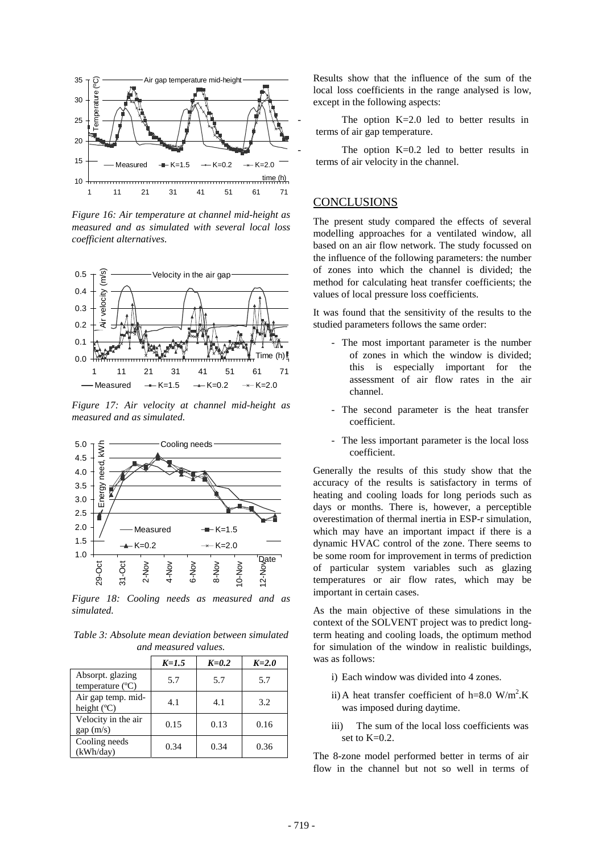

*Figure 16: Air temperature at channel mid-height as measured and as simulated with several local loss coefficient alternatives.* 



*Figure 17: Air velocity at channel mid-height as measured and as simulated.* 



*Figure 18: Cooling needs as measured and as simulated.* 

*Table 3: Absolute mean deviation between simulated and measured values.* 

|                                               | $K=1.5$ | $K=0.2$ | $K=2.0$ |
|-----------------------------------------------|---------|---------|---------|
| Absorpt. glazing<br>temperature $(^{\circ}C)$ | 5.7     | 5.7     | 5.7     |
| Air gap temp. mid-<br>height $(C)$            | 4.1     | 4.1     | 3.2     |
| Velocity in the air<br>gap (m/s)              | 0.15    | 0.13    | 0.16    |
| Cooling needs<br>(kWh/day)                    | 0.34    | 0.34    | 0.36    |

Results show that the influence of the sum of the local loss coefficients in the range analysed is low, except in the following aspects:

The option  $K=2.0$  led to better results in terms of air gap temperature.

The option  $K=0.2$  led to better results in terms of air velocity in the channel.

### CONCLUSIONS

The present study compared the effects of several modelling approaches for a ventilated window, all based on an air flow network. The study focussed on the influence of the following parameters: the number of zones into which the channel is divided; the method for calculating heat transfer coefficients; the values of local pressure loss coefficients.

It was found that the sensitivity of the results to the studied parameters follows the same order:

- The most important parameter is the number of zones in which the window is divided; this is especially important for the assessment of air flow rates in the air channel.
- The second parameter is the heat transfer coefficient.
- The less important parameter is the local loss coefficient.

Generally the results of this study show that the accuracy of the results is satisfactory in terms of heating and cooling loads for long periods such as days or months. There is, however, a perceptible overestimation of thermal inertia in ESP-r simulation, which may have an important impact if there is a dynamic HVAC control of the zone. There seems to be some room for improvement in terms of prediction of particular system variables such as glazing temperatures or air flow rates, which may be important in certain cases.

As the main objective of these simulations in the context of the SOLVENT project was to predict longterm heating and cooling loads, the optimum method for simulation of the window in realistic buildings, was as follows:

- i) Each window was divided into 4 zones.
- ii) A heat transfer coefficient of h=8.0  $W/m^2$ .K was imposed during daytime.
- iii) The sum of the local loss coefficients was set to K=0.2.

The 8-zone model performed better in terms of air flow in the channel but not so well in terms of